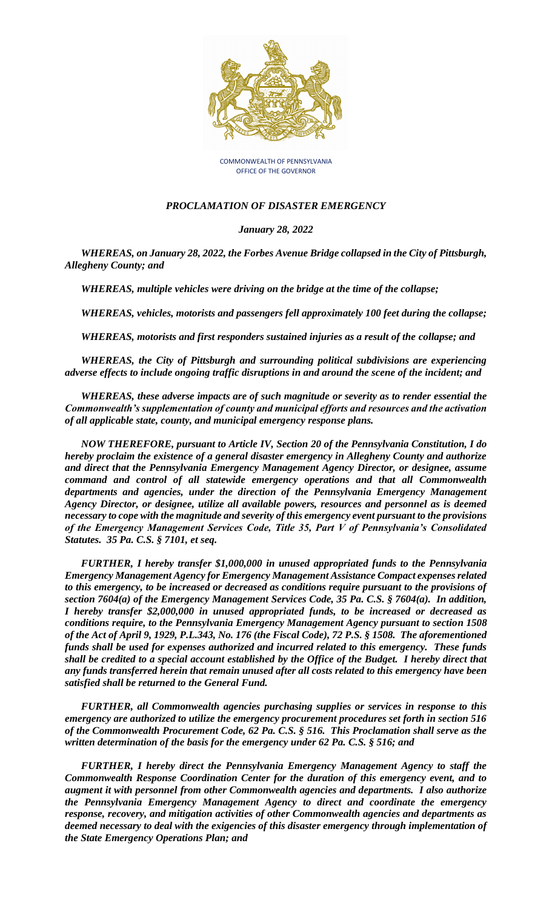

COMMONWEALTH OF PENNSYLVANIA OFFICE OF THE GOVERNOR

## *PROCLAMATION OF DISASTER EMERGENCY*

## *January 28, 2022*

*WHEREAS, on January 28, 2022, the Forbes Avenue Bridge collapsed in the City of Pittsburgh, Allegheny County; and*

*WHEREAS, multiple vehicles were driving on the bridge at the time of the collapse;*

*WHEREAS, vehicles, motorists and passengers fell approximately 100 feet during the collapse;*

*WHEREAS, motorists and first responders sustained injuries as a result of the collapse; and*

*WHEREAS, the City of Pittsburgh and surrounding political subdivisions are experiencing adverse effects to include ongoing traffic disruptions in and around the scene of the incident; and*

*WHEREAS, these adverse impacts are of such magnitude or severity as to render essential the Commonwealth's supplementation of county and municipal efforts and resources and the activation of all applicable state, county, and municipal emergency response plans.*

*NOW THEREFORE, pursuant to Article IV, Section 20 of the Pennsylvania Constitution, I do hereby proclaim the existence of a general disaster emergency in Allegheny County and authorize and direct that the Pennsylvania Emergency Management Agency Director, or designee, assume command and control of all statewide emergency operations and that all Commonwealth departments and agencies, under the direction of the Pennsylvania Emergency Management Agency Director, or designee, utilize all available powers, resources and personnel as is deemed necessary to cope with the magnitude and severity of this emergency event pursuant to the provisions of the Emergency Management Services Code, Title 35, Part V of Pennsylvania's Consolidated Statutes. 35 Pa. C.S. § 7101, et seq.* 

*FURTHER, I hereby transfer \$1,000,000 in unused appropriated funds to the Pennsylvania Emergency Management Agency for Emergency Management Assistance Compact expenses related to this emergency, to be increased or decreased as conditions require pursuant to the provisions of section 7604(a) of the Emergency Management Services Code, 35 Pa. C.S. § 7604(a). In addition, I hereby transfer \$2,000,000 in unused appropriated funds, to be increased or decreased as conditions require, to the Pennsylvania Emergency Management Agency pursuant to section 1508 of the Act of April 9, 1929, P.L.343, No. 176 (the Fiscal Code), 72 P.S. § 1508. The aforementioned funds shall be used for expenses authorized and incurred related to this emergency. These funds shall be credited to a special account established by the Office of the Budget. I hereby direct that any funds transferred herein that remain unused after all costs related to this emergency have been satisfied shall be returned to the General Fund.* 

*FURTHER, all Commonwealth agencies purchasing supplies or services in response to this emergency are authorized to utilize the emergency procurement procedures set forth in section 516 of the Commonwealth Procurement Code, 62 Pa. C.S. § 516. This Proclamation shall serve as the written determination of the basis for the emergency under 62 Pa. C.S. § 516; and*

*FURTHER, I hereby direct the Pennsylvania Emergency Management Agency to staff the Commonwealth Response Coordination Center for the duration of this emergency event, and to augment it with personnel from other Commonwealth agencies and departments. I also authorize the Pennsylvania Emergency Management Agency to direct and coordinate the emergency response, recovery, and mitigation activities of other Commonwealth agencies and departments as deemed necessary to deal with the exigencies of this disaster emergency through implementation of the State Emergency Operations Plan; and*